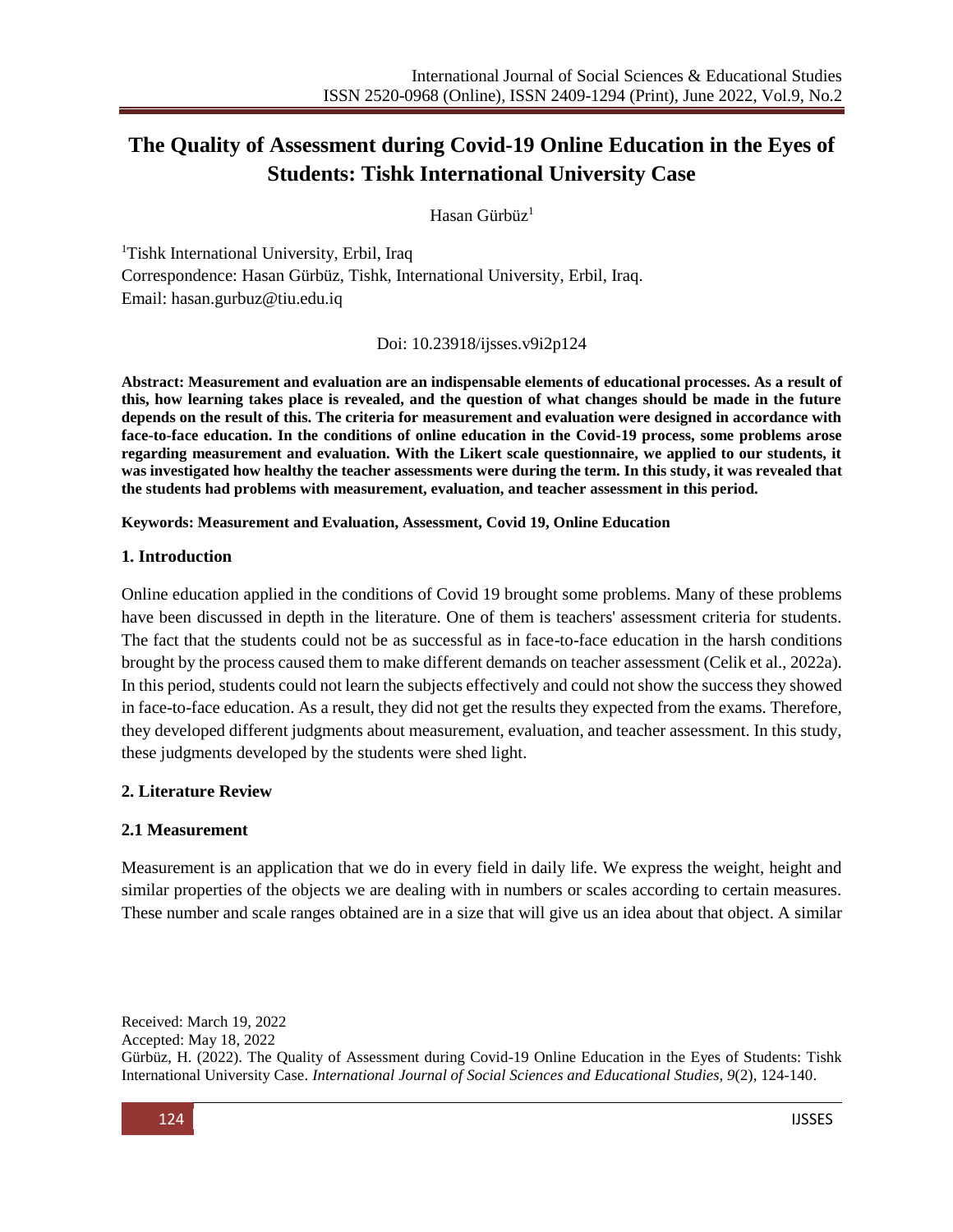# **The Quality of Assessment during Covid-19 Online Education in the Eyes of Students: Tishk International University Case**

Hasan Gürbüz<sup>1</sup>

<sup>1</sup>Tishk International University, Erbil, Iraq Correspondence: Hasan Gürbüz, Tishk, International University, Erbil, Iraq. Email: [hasan.gurbuz@tiu.edu.iq](mailto:hasan.gurbuz@tiu.edu.iq)

Doi: 10.23918/ijsses.v9i2p124

**Abstract: Measurement and evaluation are an indispensable elements of educational processes. As a result of this, how learning takes place is revealed, and the question of what changes should be made in the future depends on the result of this. The criteria for measurement and evaluation were designed in accordance with face-to-face education. In the conditions of online education in the Covid-19 process, some problems arose regarding measurement and evaluation. With the Likert scale questionnaire, we applied to our students, it was investigated how healthy the teacher assessments were during the term. In this study, it was revealed that the students had problems with measurement, evaluation, and teacher assessment in this period.**

**Keywords: Measurement and Evaluation, Assessment, Covid 19, Online Education**

#### **1. Introduction**

Online education applied in the conditions of Covid 19 brought some problems. Many of these problems have been discussed in depth in the literature. One of them is teachers' assessment criteria for students. The fact that the students could not be as successful as in face-to-face education in the harsh conditions brought by the process caused them to make different demands on teacher assessment (Celik et al., 2022a). In this period, students could not learn the subjects effectively and could not show the success they showed in face-to-face education. As a result, they did not get the results they expected from the exams. Therefore, they developed different judgments about measurement, evaluation, and teacher assessment. In this study, these judgments developed by the students were shed light.

## **2. Literature Review**

## **2.1 Measurement**

Measurement is an application that we do in every field in daily life. We express the weight, height and similar properties of the objects we are dealing with in numbers or scales according to certain measures. These number and scale ranges obtained are in a size that will give us an idea about that object. A similar

Received: March 19, 2022 Accepted: May 18, 2022 Gürbüz, H. (2022). The Quality of Assessment during Covid-19 Online Education in the Eyes of Students: Tishk International University Case. *International Journal of Social Sciences and Educational Studies, 9*(2), 124-140.

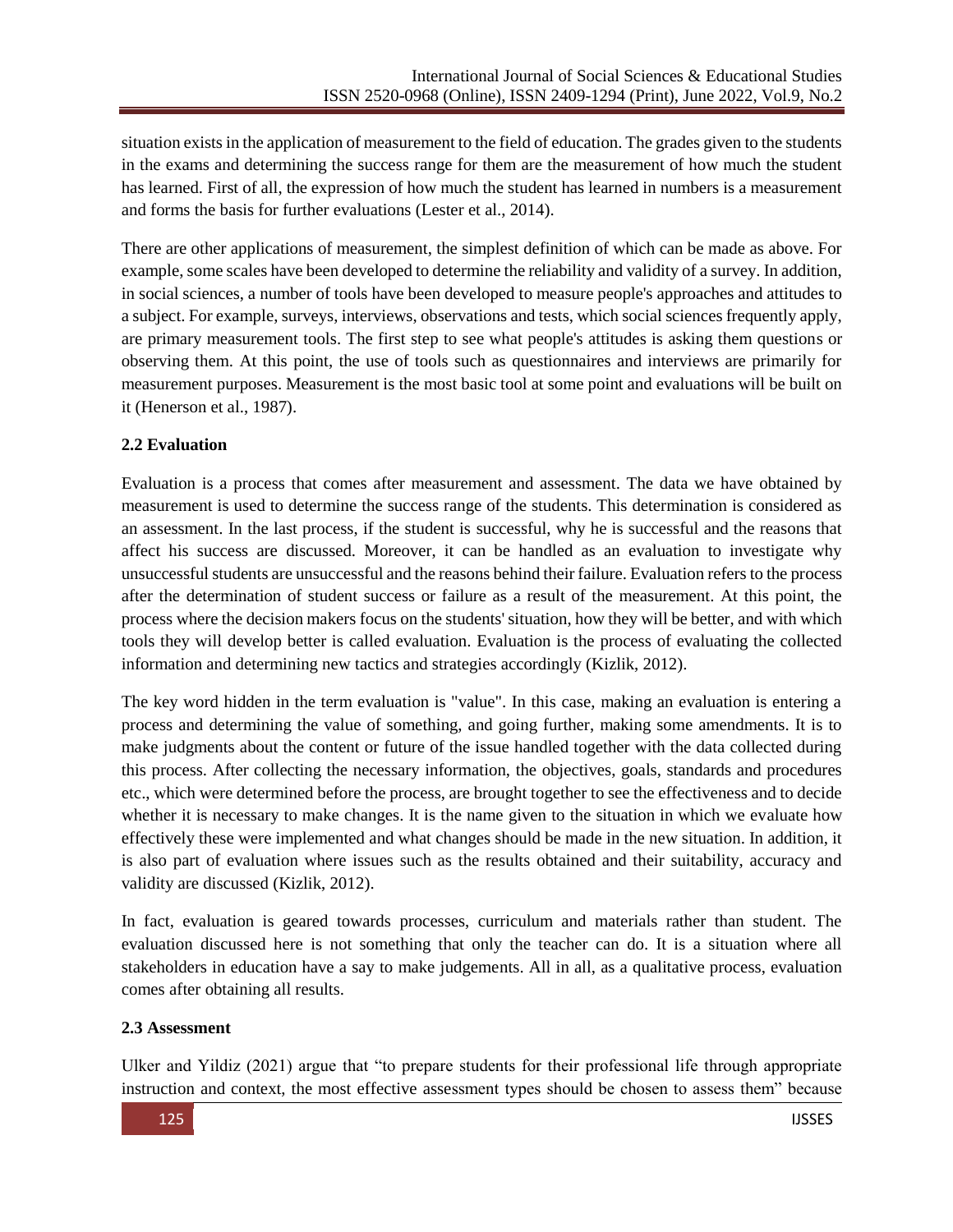situation exists in the application of measurement to the field of education. The grades given to the students in the exams and determining the success range for them are the measurement of how much the student has learned. First of all, the expression of how much the student has learned in numbers is a measurement and forms the basis for further evaluations (Lester et al., 2014).

There are other applications of measurement, the simplest definition of which can be made as above. For example, some scales have been developed to determine the reliability and validity of a survey. In addition, in social sciences, a number of tools have been developed to measure people's approaches and attitudes to a subject. For example, surveys, interviews, observations and tests, which social sciences frequently apply, are primary measurement tools. The first step to see what people's attitudes is asking them questions or observing them. At this point, the use of tools such as questionnaires and interviews are primarily for measurement purposes. Measurement is the most basic tool at some point and evaluations will be built on it (Henerson et al., 1987).

## **2.2 Evaluation**

Evaluation is a process that comes after measurement and assessment. The data we have obtained by measurement is used to determine the success range of the students. This determination is considered as an assessment. In the last process, if the student is successful, why he is successful and the reasons that affect his success are discussed. Moreover, it can be handled as an evaluation to investigate why unsuccessful students are unsuccessful and the reasons behind their failure. Evaluation refers to the process after the determination of student success or failure as a result of the measurement. At this point, the process where the decision makers focus on the students' situation, how they will be better, and with which tools they will develop better is called evaluation. Evaluation is the process of evaluating the collected information and determining new tactics and strategies accordingly (Kizlik, 2012).

The key word hidden in the term evaluation is "value". In this case, making an evaluation is entering a process and determining the value of something, and going further, making some amendments. It is to make judgments about the content or future of the issue handled together with the data collected during this process. After collecting the necessary information, the objectives, goals, standards and procedures etc., which were determined before the process, are brought together to see the effectiveness and to decide whether it is necessary to make changes. It is the name given to the situation in which we evaluate how effectively these were implemented and what changes should be made in the new situation. In addition, it is also part of evaluation where issues such as the results obtained and their suitability, accuracy and validity are discussed (Kizlik, 2012).

In fact, evaluation is geared towards processes, curriculum and materials rather than student. The evaluation discussed here is not something that only the teacher can do. It is a situation where all stakeholders in education have a say to make judgements. All in all, as a qualitative process, evaluation comes after obtaining all results.

## **2.3 Assessment**

Ulker and Yildiz (2021) argue that "to prepare students for their professional life through appropriate instruction and context, the most effective assessment types should be chosen to assess them" because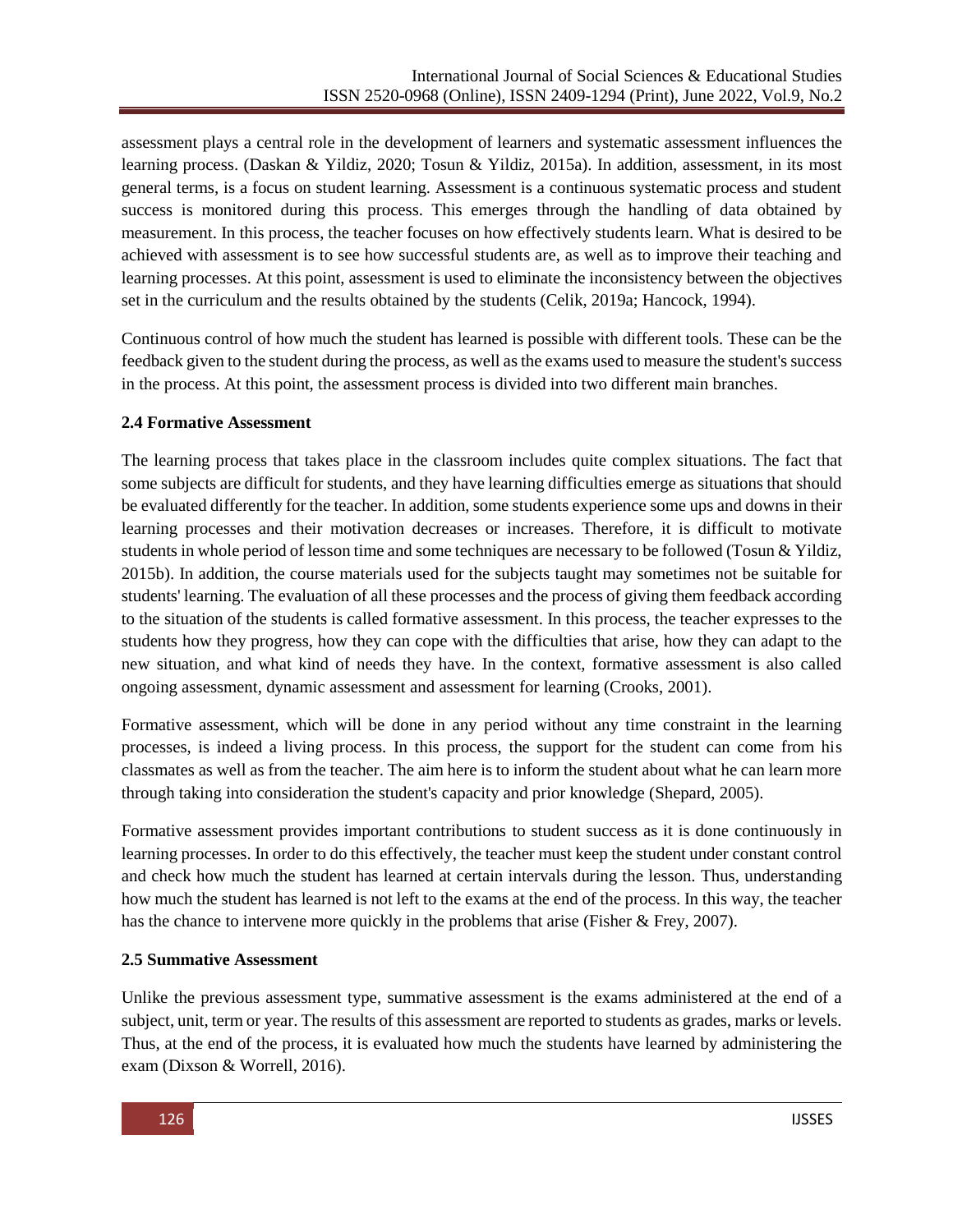assessment plays a central role in the development of learners and systematic assessment influences the learning process. (Daskan & Yildiz, 2020; Tosun & Yildiz, 2015a). In addition, assessment, in its most general terms, is a focus on student learning. Assessment is a continuous systematic process and student success is monitored during this process. This emerges through the handling of data obtained by measurement. In this process, the teacher focuses on how effectively students learn. What is desired to be achieved with assessment is to see how successful students are, as well as to improve their teaching and learning processes. At this point, assessment is used to eliminate the inconsistency between the objectives set in the curriculum and the results obtained by the students (Celik, 2019a; Hancock, 1994).

Continuous control of how much the student has learned is possible with different tools. These can be the feedback given to the student during the process, as well as the exams used to measure the student's success in the process. At this point, the assessment process is divided into two different main branches.

## **2.4 Formative Assessment**

The learning process that takes place in the classroom includes quite complex situations. The fact that some subjects are difficult for students, and they have learning difficulties emerge as situations that should be evaluated differently for the teacher. In addition, some students experience some ups and downs in their learning processes and their motivation decreases or increases. Therefore, it is difficult to motivate students in whole period of lesson time and some techniques are necessary to be followed (Tosun & Yildiz, 2015b). In addition, the course materials used for the subjects taught may sometimes not be suitable for students' learning. The evaluation of all these processes and the process of giving them feedback according to the situation of the students is called formative assessment. In this process, the teacher expresses to the students how they progress, how they can cope with the difficulties that arise, how they can adapt to the new situation, and what kind of needs they have. In the context, formative assessment is also called ongoing assessment, dynamic assessment and assessment for learning (Crooks, 2001).

Formative assessment, which will be done in any period without any time constraint in the learning processes, is indeed a living process. In this process, the support for the student can come from his classmates as well as from the teacher. The aim here is to inform the student about what he can learn more through taking into consideration the student's capacity and prior knowledge (Shepard, 2005).

Formative assessment provides important contributions to student success as it is done continuously in learning processes. In order to do this effectively, the teacher must keep the student under constant control and check how much the student has learned at certain intervals during the lesson. Thus, understanding how much the student has learned is not left to the exams at the end of the process. In this way, the teacher has the chance to intervene more quickly in the problems that arise (Fisher & Frey, 2007).

#### **2.5 Summative Assessment**

Unlike the previous assessment type, summative assessment is the exams administered at the end of a subject, unit, term or year. The results of this assessment are reported to students as grades, marks or levels. Thus, at the end of the process, it is evaluated how much the students have learned by administering the exam (Dixson & Worrell, 2016).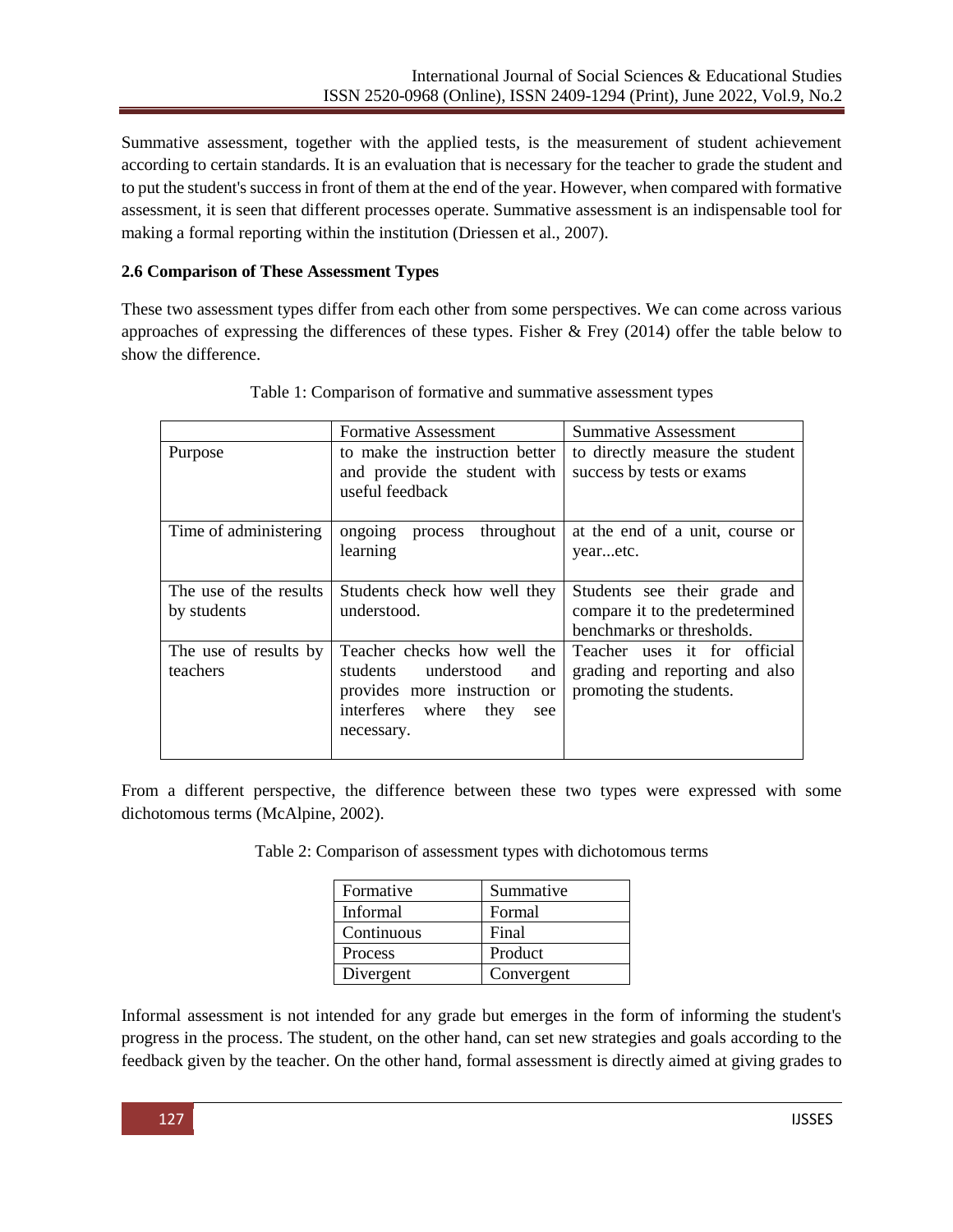Summative assessment, together with the applied tests, is the measurement of student achievement according to certain standards. It is an evaluation that is necessary for the teacher to grade the student and to put the student's success in front of them at the end of the year. However, when compared with formative assessment, it is seen that different processes operate. Summative assessment is an indispensable tool for making a formal reporting within the institution (Driessen et al., 2007).

## **2.6 Comparison of These Assessment Types**

These two assessment types differ from each other from some perspectives. We can come across various approaches of expressing the differences of these types. Fisher  $\&$  Frey (2014) offer the table below to show the difference.

|                        | Formative Assessment                            | Summative Assessment            |  |  |  |
|------------------------|-------------------------------------------------|---------------------------------|--|--|--|
| Purpose                | to make the instruction better                  | to directly measure the student |  |  |  |
|                        | and provide the student with<br>useful feedback | success by tests or exams       |  |  |  |
| Time of administering  | process throughout<br>ongoing                   | at the end of a unit, course or |  |  |  |
|                        | learning                                        | yearetc.                        |  |  |  |
| The use of the results | Students check how well they                    | Students see their grade and    |  |  |  |
| by students            | understood.                                     | compare it to the predetermined |  |  |  |
|                        |                                                 | benchmarks or thresholds.       |  |  |  |
| The use of results by  | Teacher checks how well the                     | Teacher uses it for official    |  |  |  |
| teachers               | students understood<br>and                      | grading and reporting and also  |  |  |  |
|                        | provides more instruction or                    | promoting the students.         |  |  |  |
|                        | interferes where<br>they<br>see                 |                                 |  |  |  |
|                        | necessary.                                      |                                 |  |  |  |
|                        |                                                 |                                 |  |  |  |

Table 1: Comparison of formative and summative assessment types

From a different perspective, the difference between these two types were expressed with some dichotomous terms (McAlpine, 2002).

|  | Table 2: Comparison of assessment types with dichotomous terms |
|--|----------------------------------------------------------------|
|--|----------------------------------------------------------------|

| Formative  | Summative  |  |  |
|------------|------------|--|--|
| Informal   | Formal     |  |  |
| Continuous | Final      |  |  |
| Process    | Product    |  |  |
| Divergent  | Convergent |  |  |

Informal assessment is not intended for any grade but emerges in the form of informing the student's progress in the process. The student, on the other hand, can set new strategies and goals according to the feedback given by the teacher. On the other hand, formal assessment is directly aimed at giving grades to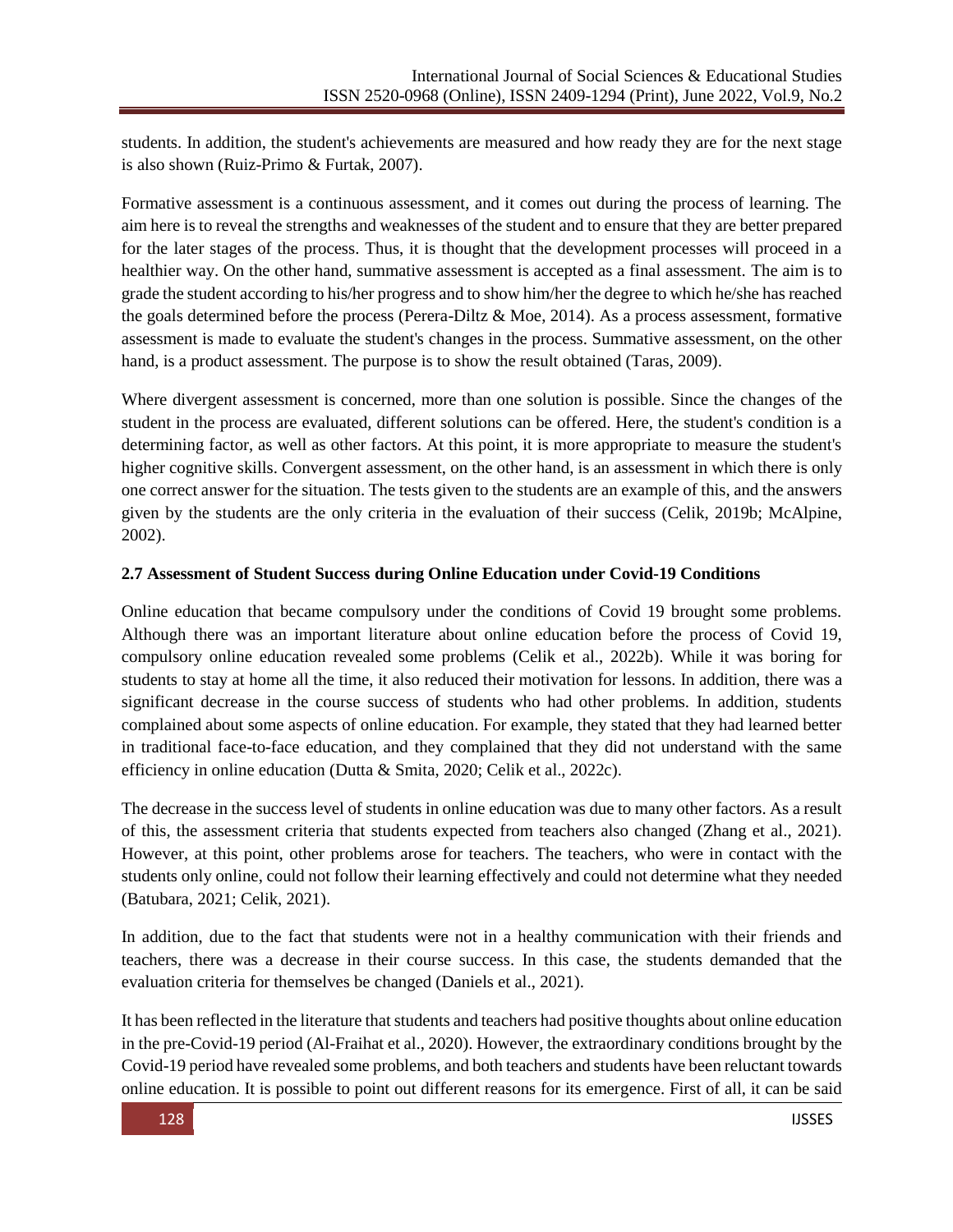students. In addition, the student's achievements are measured and how ready they are for the next stage is also shown (Ruiz-Primo & Furtak, 2007).

Formative assessment is a continuous assessment, and it comes out during the process of learning. The aim here is to reveal the strengths and weaknesses of the student and to ensure that they are better prepared for the later stages of the process. Thus, it is thought that the development processes will proceed in a healthier way. On the other hand, summative assessment is accepted as a final assessment. The aim is to grade the student according to his/her progress and to show him/her the degree to which he/she has reached the goals determined before the process (Perera-Diltz & Moe, 2014). As a process assessment, formative assessment is made to evaluate the student's changes in the process. Summative assessment, on the other hand, is a product assessment. The purpose is to show the result obtained (Taras, 2009).

Where divergent assessment is concerned, more than one solution is possible. Since the changes of the student in the process are evaluated, different solutions can be offered. Here, the student's condition is a determining factor, as well as other factors. At this point, it is more appropriate to measure the student's higher cognitive skills. Convergent assessment, on the other hand, is an assessment in which there is only one correct answer for the situation. The tests given to the students are an example of this, and the answers given by the students are the only criteria in the evaluation of their success (Celik, 2019b; McAlpine, 2002).

## **2.7 Assessment of Student Success during Online Education under Covid-19 Conditions**

Online education that became compulsory under the conditions of Covid 19 brought some problems. Although there was an important literature about online education before the process of Covid 19, compulsory online education revealed some problems (Celik et al., 2022b). While it was boring for students to stay at home all the time, it also reduced their motivation for lessons. In addition, there was a significant decrease in the course success of students who had other problems. In addition, students complained about some aspects of online education. For example, they stated that they had learned better in traditional face-to-face education, and they complained that they did not understand with the same efficiency in online education (Dutta & Smita, 2020; Celik et al., 2022c).

The decrease in the success level of students in online education was due to many other factors. As a result of this, the assessment criteria that students expected from teachers also changed (Zhang et al., 2021). However, at this point, other problems arose for teachers. The teachers, who were in contact with the students only online, could not follow their learning effectively and could not determine what they needed (Batubara, 2021; Celik, 2021).

In addition, due to the fact that students were not in a healthy communication with their friends and teachers, there was a decrease in their course success. In this case, the students demanded that the evaluation criteria for themselves be changed (Daniels et al., 2021).

It has been reflected in the literature that students and teachers had positive thoughts about online education in the pre-Covid-19 period (Al-Fraihat et al., 2020). However, the extraordinary conditions brought by the Covid-19 period have revealed some problems, and both teachers and students have been reluctant towards online education. It is possible to point out different reasons for its emergence. First of all, it can be said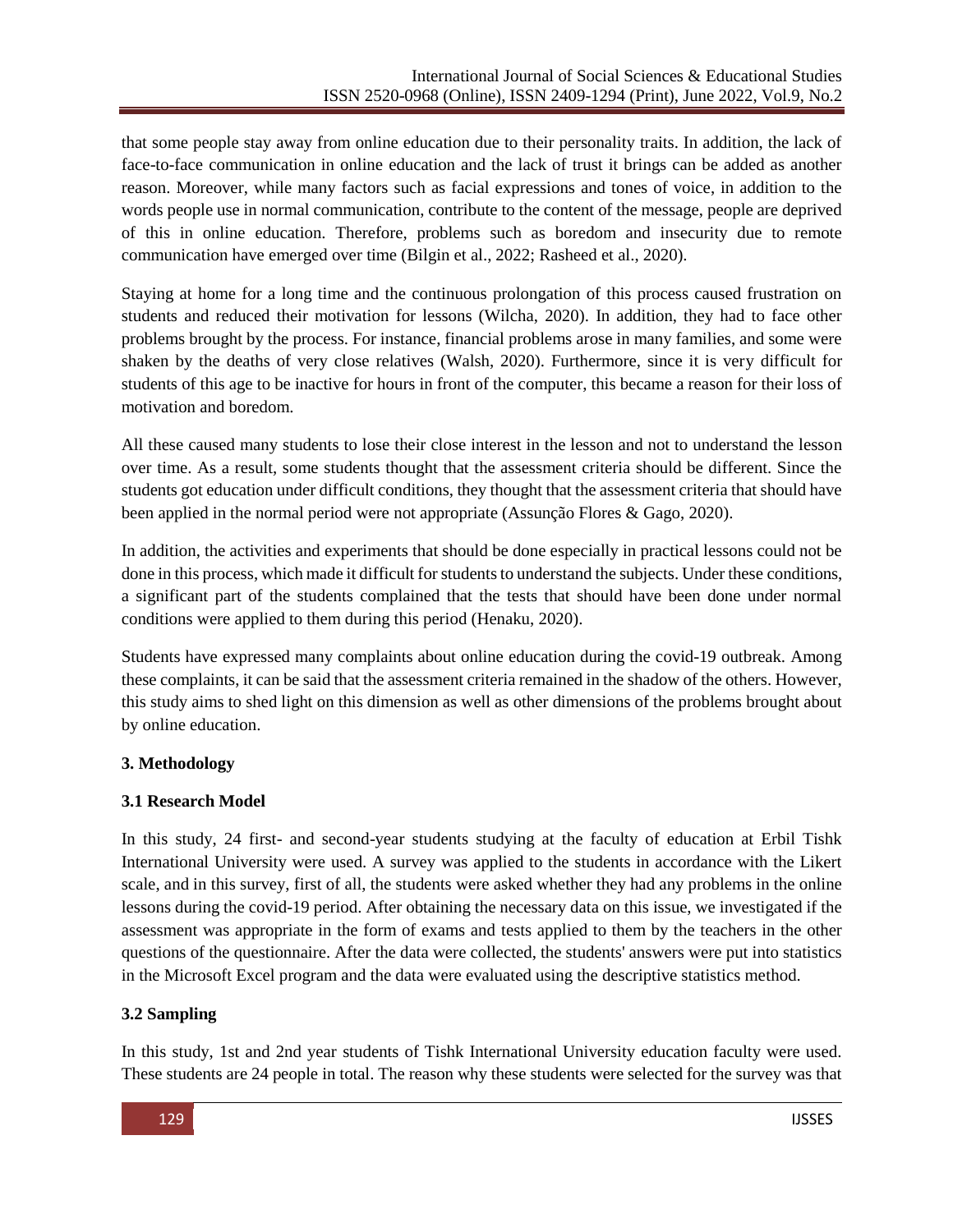that some people stay away from online education due to their personality traits. In addition, the lack of face-to-face communication in online education and the lack of trust it brings can be added as another reason. Moreover, while many factors such as facial expressions and tones of voice, in addition to the words people use in normal communication, contribute to the content of the message, people are deprived of this in online education. Therefore, problems such as boredom and insecurity due to remote communication have emerged over time (Bilgin et al., 2022; Rasheed et al., 2020).

Staying at home for a long time and the continuous prolongation of this process caused frustration on students and reduced their motivation for lessons (Wilcha, 2020). In addition, they had to face other problems brought by the process. For instance, financial problems arose in many families, and some were shaken by the deaths of very close relatives (Walsh, 2020). Furthermore, since it is very difficult for students of this age to be inactive for hours in front of the computer, this became a reason for their loss of motivation and boredom.

All these caused many students to lose their close interest in the lesson and not to understand the lesson over time. As a result, some students thought that the assessment criteria should be different. Since the students got education under difficult conditions, they thought that the assessment criteria that should have been applied in the normal period were not appropriate (Assunção Flores & Gago, 2020).

In addition, the activities and experiments that should be done especially in practical lessons could not be done in this process, which made it difficult for students to understand the subjects. Under these conditions, a significant part of the students complained that the tests that should have been done under normal conditions were applied to them during this period (Henaku, 2020).

Students have expressed many complaints about online education during the covid-19 outbreak. Among these complaints, it can be said that the assessment criteria remained in the shadow of the others. However, this study aims to shed light on this dimension as well as other dimensions of the problems brought about by online education.

## **3. Methodology**

## **3.1 Research Model**

In this study, 24 first- and second-year students studying at the faculty of education at Erbil Tishk International University were used. A survey was applied to the students in accordance with the Likert scale, and in this survey, first of all, the students were asked whether they had any problems in the online lessons during the covid-19 period. After obtaining the necessary data on this issue, we investigated if the assessment was appropriate in the form of exams and tests applied to them by the teachers in the other questions of the questionnaire. After the data were collected, the students' answers were put into statistics in the Microsoft Excel program and the data were evaluated using the descriptive statistics method.

## **3.2 Sampling**

In this study, 1st and 2nd year students of Tishk International University education faculty were used. These students are 24 people in total. The reason why these students were selected for the survey was that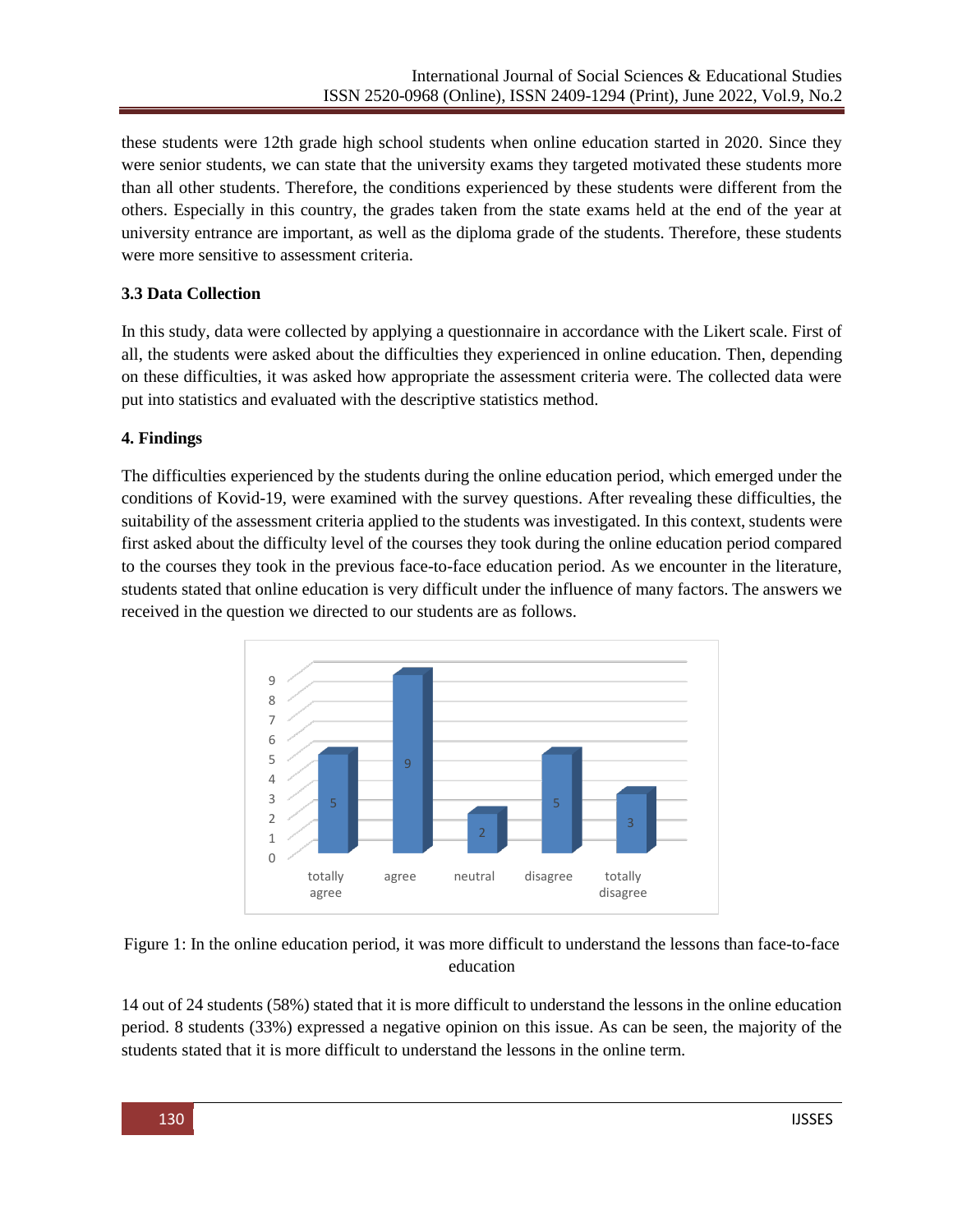these students were 12th grade high school students when online education started in 2020. Since they were senior students, we can state that the university exams they targeted motivated these students more than all other students. Therefore, the conditions experienced by these students were different from the others. Especially in this country, the grades taken from the state exams held at the end of the year at university entrance are important, as well as the diploma grade of the students. Therefore, these students were more sensitive to assessment criteria.

## **3.3 Data Collection**

In this study, data were collected by applying a questionnaire in accordance with the Likert scale. First of all, the students were asked about the difficulties they experienced in online education. Then, depending on these difficulties, it was asked how appropriate the assessment criteria were. The collected data were put into statistics and evaluated with the descriptive statistics method.

## **4. Findings**

The difficulties experienced by the students during the online education period, which emerged under the conditions of Kovid-19, were examined with the survey questions. After revealing these difficulties, the suitability of the assessment criteria applied to the students was investigated. In this context, students were first asked about the difficulty level of the courses they took during the online education period compared to the courses they took in the previous face-to-face education period. As we encounter in the literature, students stated that online education is very difficult under the influence of many factors. The answers we received in the question we directed to our students are as follows.





14 out of 24 students (58%) stated that it is more difficult to understand the lessons in the online education period. 8 students (33%) expressed a negative opinion on this issue. As can be seen, the majority of the students stated that it is more difficult to understand the lessons in the online term.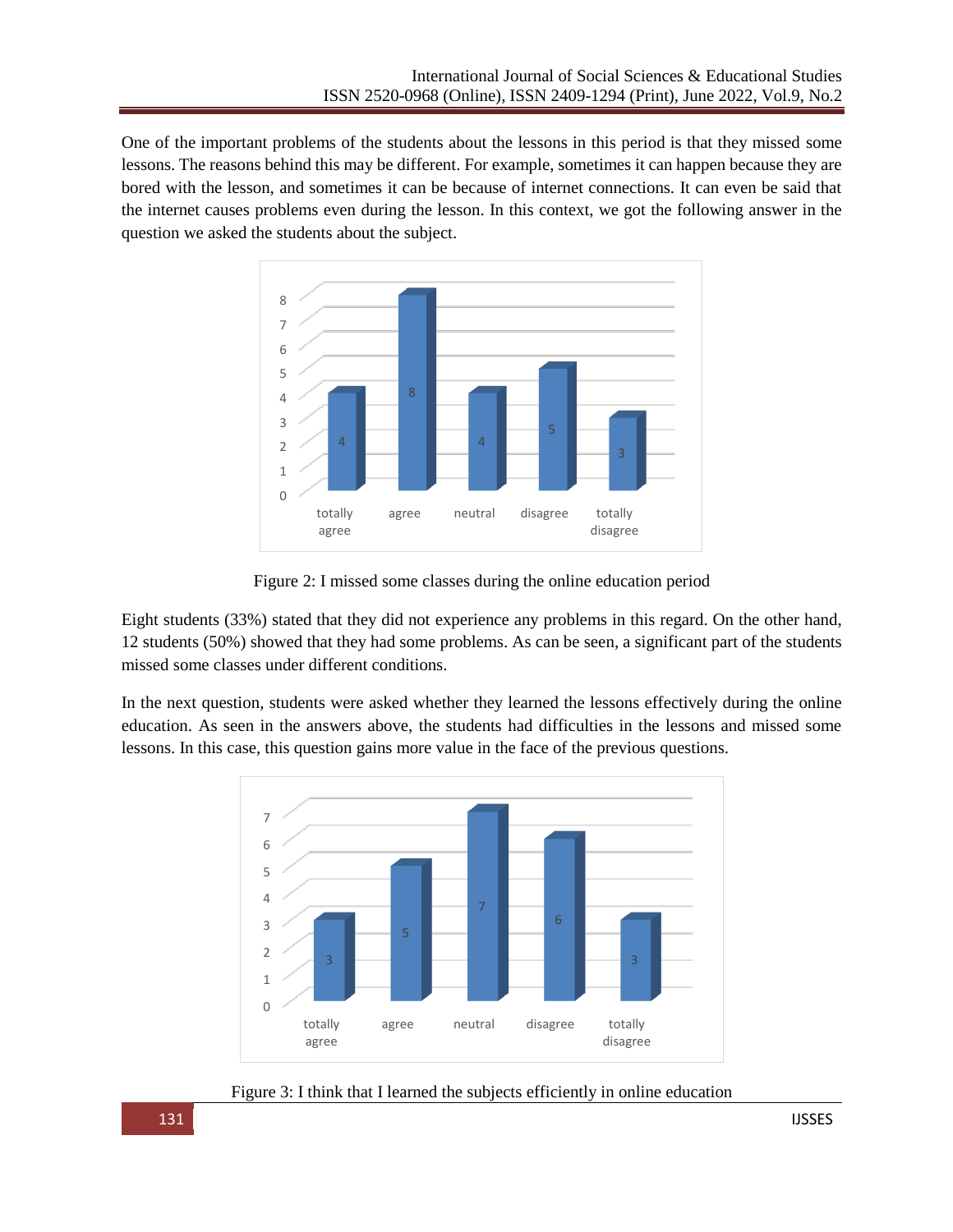One of the important problems of the students about the lessons in this period is that they missed some lessons. The reasons behind this may be different. For example, sometimes it can happen because they are bored with the lesson, and sometimes it can be because of internet connections. It can even be said that the internet causes problems even during the lesson. In this context, we got the following answer in the question we asked the students about the subject.



Figure 2: I missed some classes during the online education period

Eight students (33%) stated that they did not experience any problems in this regard. On the other hand, 12 students (50%) showed that they had some problems. As can be seen, a significant part of the students missed some classes under different conditions.

In the next question, students were asked whether they learned the lessons effectively during the online education. As seen in the answers above, the students had difficulties in the lessons and missed some lessons. In this case, this question gains more value in the face of the previous questions.



Figure 3: I think that I learned the subjects efficiently in online education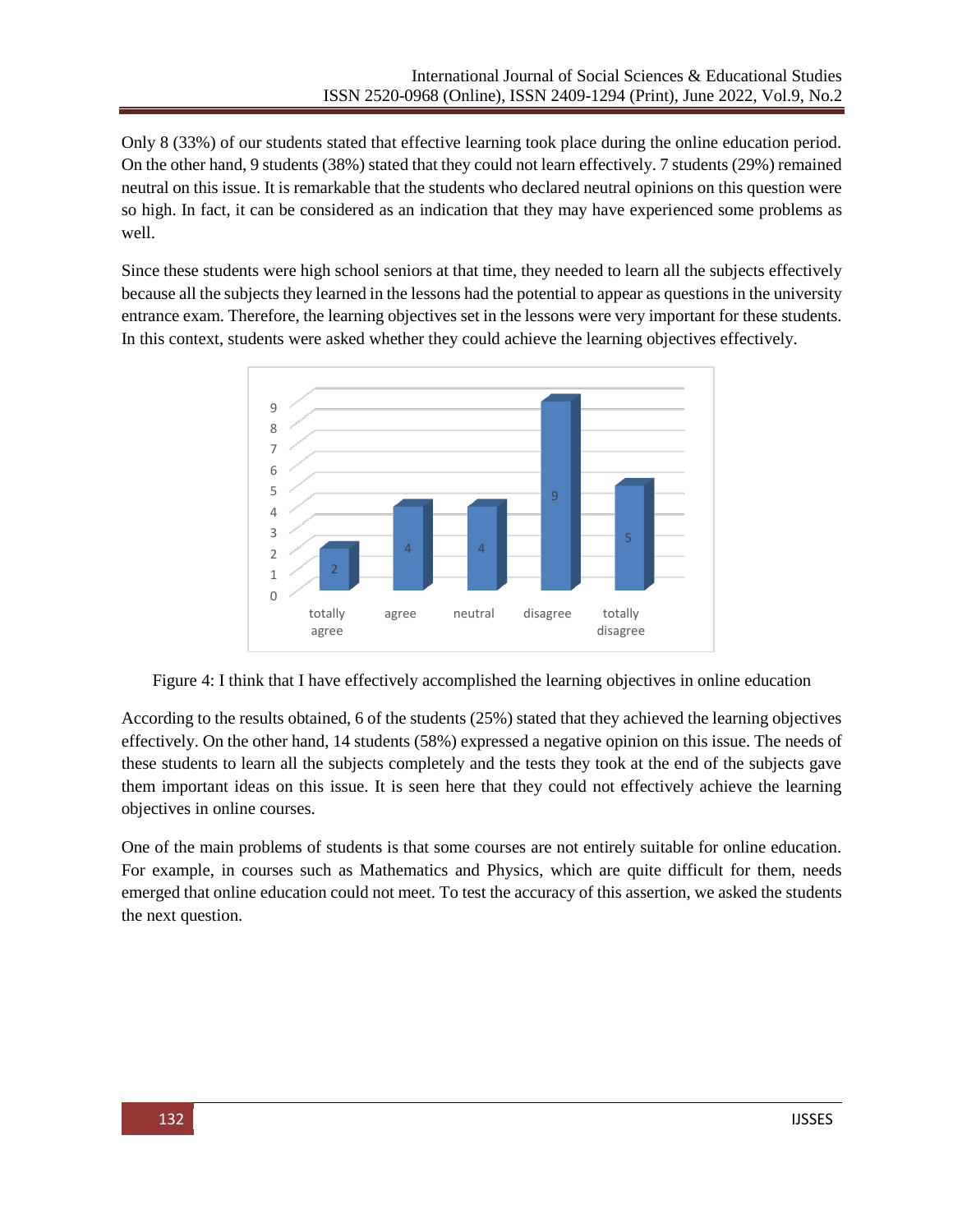Only 8 (33%) of our students stated that effective learning took place during the online education period. On the other hand, 9 students (38%) stated that they could not learn effectively. 7 students (29%) remained neutral on this issue. It is remarkable that the students who declared neutral opinions on this question were so high. In fact, it can be considered as an indication that they may have experienced some problems as well.

Since these students were high school seniors at that time, they needed to learn all the subjects effectively because all the subjects they learned in the lessons had the potential to appear as questions in the university entrance exam. Therefore, the learning objectives set in the lessons were very important for these students. In this context, students were asked whether they could achieve the learning objectives effectively.



Figure 4: I think that I have effectively accomplished the learning objectives in online education

According to the results obtained, 6 of the students (25%) stated that they achieved the learning objectives effectively. On the other hand, 14 students (58%) expressed a negative opinion on this issue. The needs of these students to learn all the subjects completely and the tests they took at the end of the subjects gave them important ideas on this issue. It is seen here that they could not effectively achieve the learning objectives in online courses.

One of the main problems of students is that some courses are not entirely suitable for online education. For example, in courses such as Mathematics and Physics, which are quite difficult for them, needs emerged that online education could not meet. To test the accuracy of this assertion, we asked the students the next question.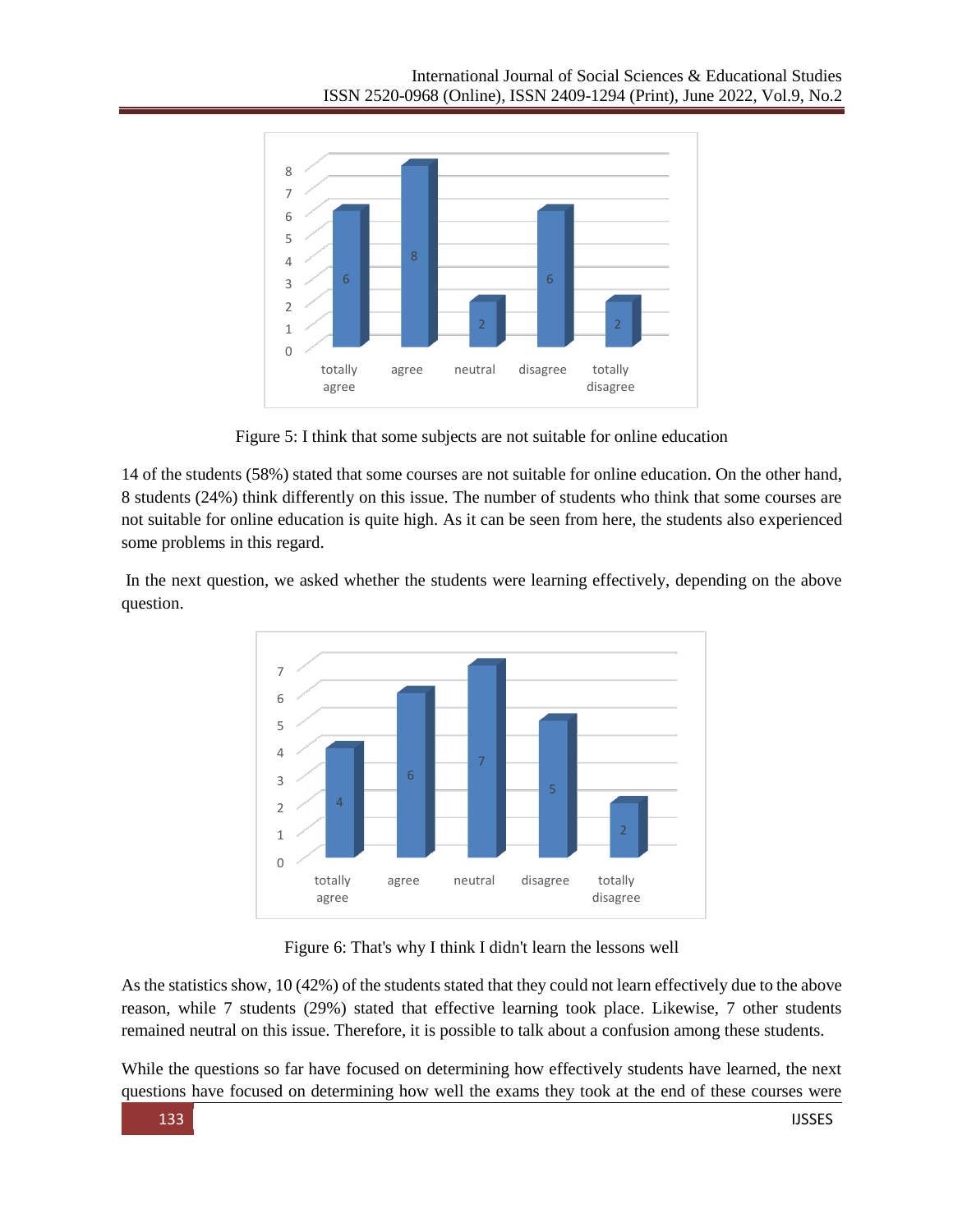

Figure 5: I think that some subjects are not suitable for online education

14 of the students (58%) stated that some courses are not suitable for online education. On the other hand, 8 students (24%) think differently on this issue. The number of students who think that some courses are not suitable for online education is quite high. As it can be seen from here, the students also experienced some problems in this regard.

In the next question, we asked whether the students were learning effectively, depending on the above question.



Figure 6: That's why I think I didn't learn the lessons well

As the statistics show, 10 (42%) of the students stated that they could not learn effectively due to the above reason, while 7 students (29%) stated that effective learning took place. Likewise, 7 other students remained neutral on this issue. Therefore, it is possible to talk about a confusion among these students.

While the questions so far have focused on determining how effectively students have learned, the next questions have focused on determining how well the exams they took at the end of these courses were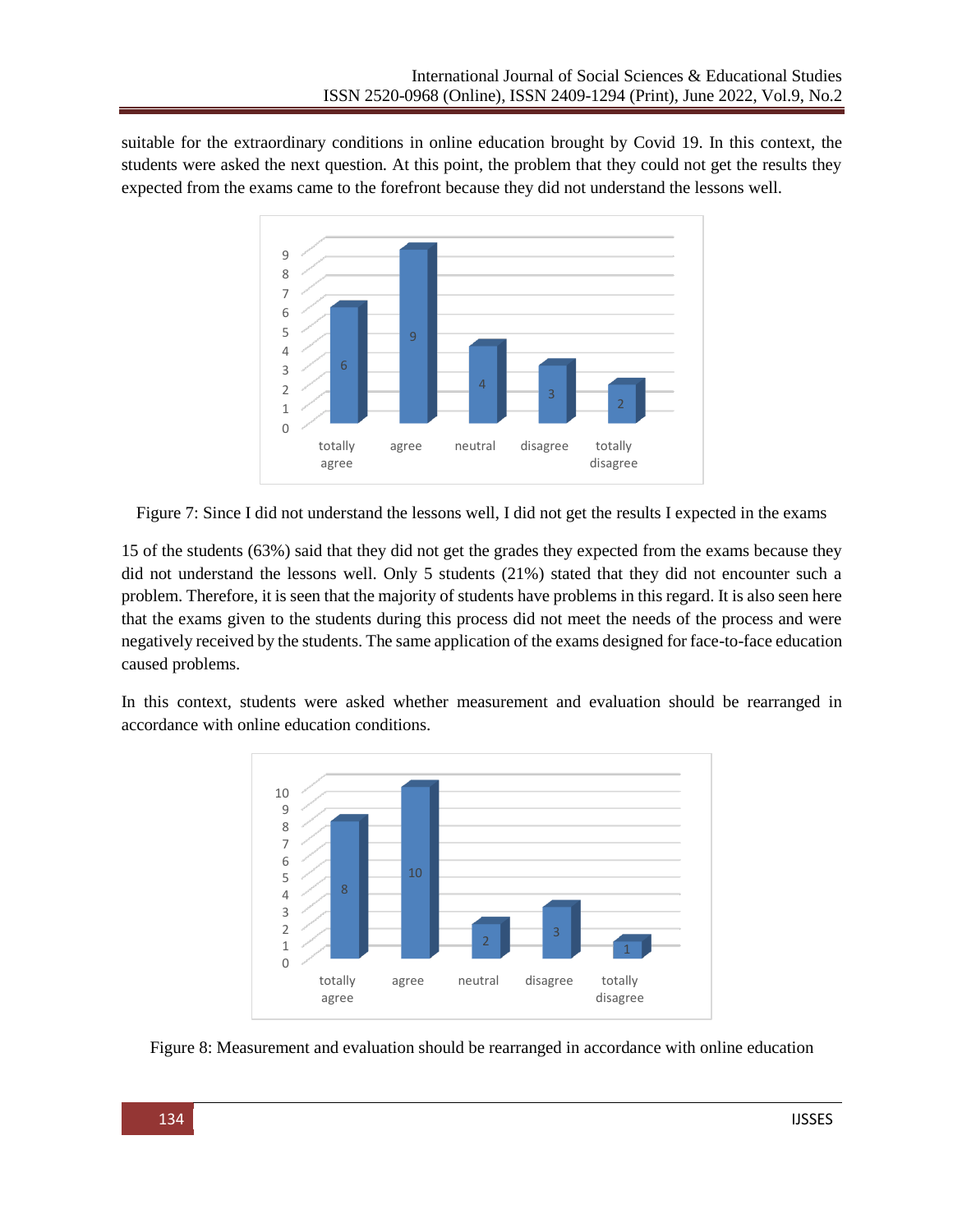suitable for the extraordinary conditions in online education brought by Covid 19. In this context, the students were asked the next question. At this point, the problem that they could not get the results they expected from the exams came to the forefront because they did not understand the lessons well.



Figure 7: Since I did not understand the lessons well, I did not get the results I expected in the exams

15 of the students (63%) said that they did not get the grades they expected from the exams because they did not understand the lessons well. Only 5 students (21%) stated that they did not encounter such a problem. Therefore, it is seen that the majority of students have problems in this regard. It is also seen here that the exams given to the students during this process did not meet the needs of the process and were negatively received by the students. The same application of the exams designed for face-to-face education caused problems.

In this context, students were asked whether measurement and evaluation should be rearranged in accordance with online education conditions.



Figure 8: Measurement and evaluation should be rearranged in accordance with online education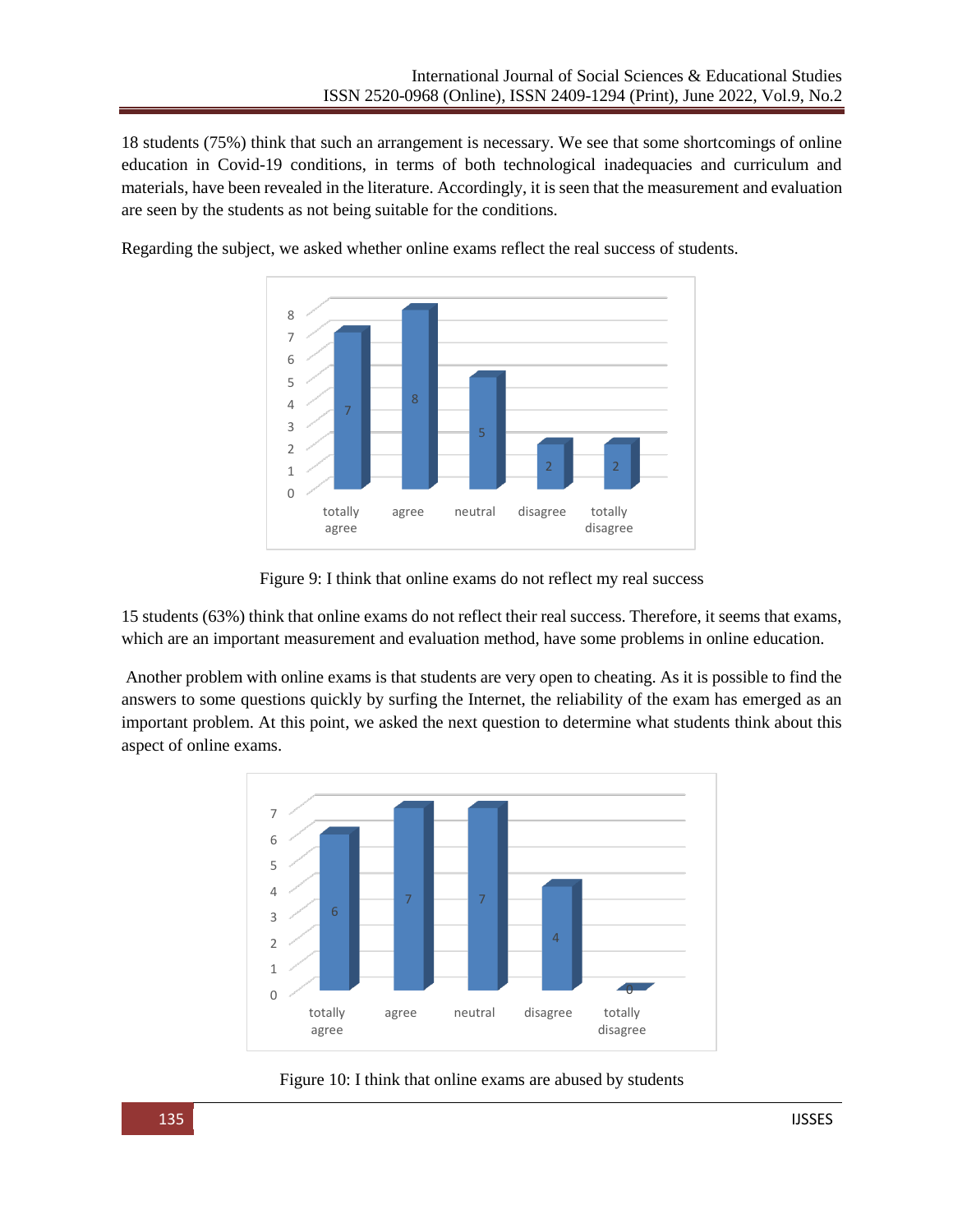18 students (75%) think that such an arrangement is necessary. We see that some shortcomings of online education in Covid-19 conditions, in terms of both technological inadequacies and curriculum and materials, have been revealed in the literature. Accordingly, it is seen that the measurement and evaluation are seen by the students as not being suitable for the conditions.



Regarding the subject, we asked whether online exams reflect the real success of students.

Figure 9: I think that online exams do not reflect my real success

15 students (63%) think that online exams do not reflect their real success. Therefore, it seems that exams, which are an important measurement and evaluation method, have some problems in online education.

Another problem with online exams is that students are very open to cheating. As it is possible to find the answers to some questions quickly by surfing the Internet, the reliability of the exam has emerged as an important problem. At this point, we asked the next question to determine what students think about this aspect of online exams.



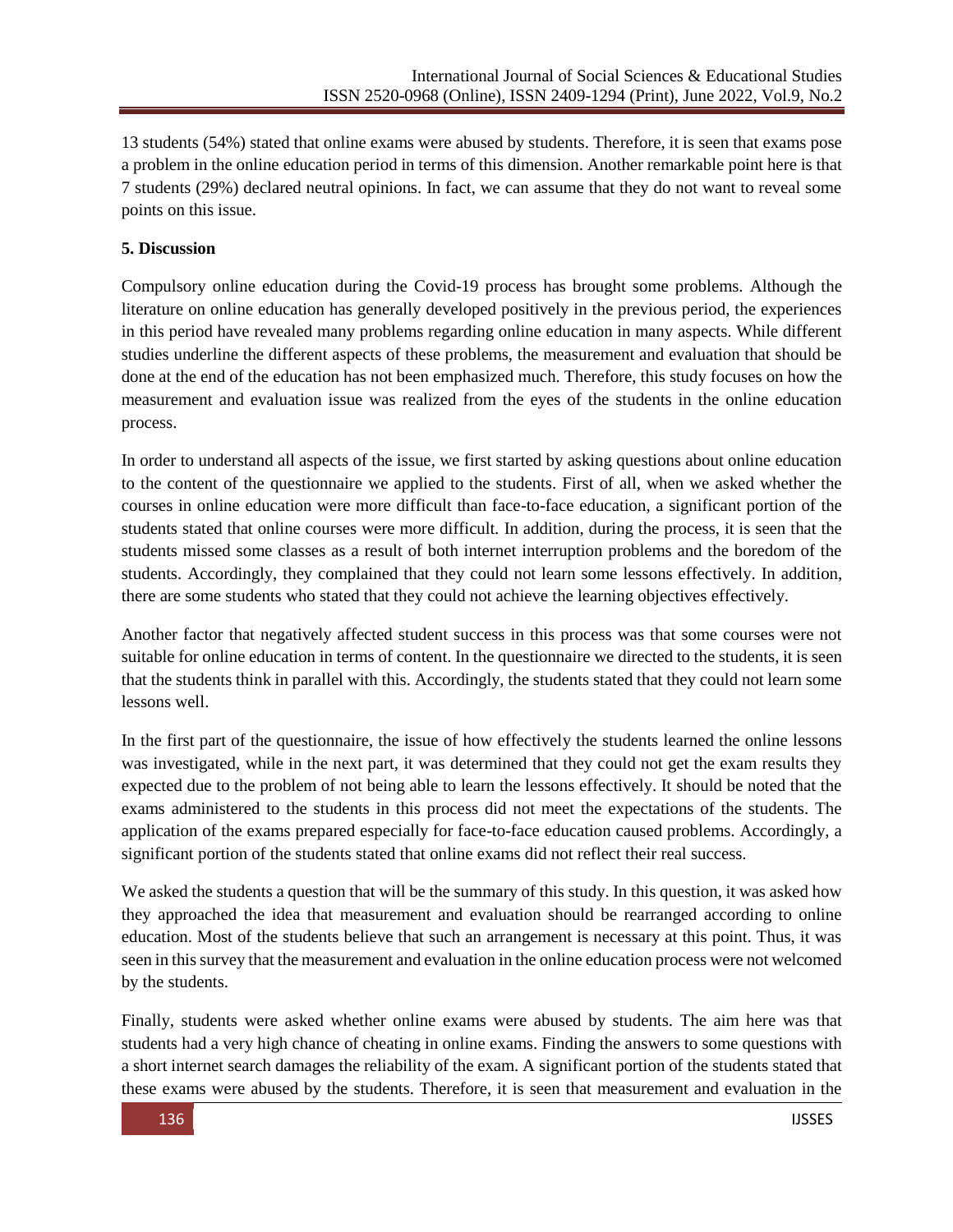13 students (54%) stated that online exams were abused by students. Therefore, it is seen that exams pose a problem in the online education period in terms of this dimension. Another remarkable point here is that 7 students (29%) declared neutral opinions. In fact, we can assume that they do not want to reveal some points on this issue.

## **5. Discussion**

Compulsory online education during the Covid-19 process has brought some problems. Although the literature on online education has generally developed positively in the previous period, the experiences in this period have revealed many problems regarding online education in many aspects. While different studies underline the different aspects of these problems, the measurement and evaluation that should be done at the end of the education has not been emphasized much. Therefore, this study focuses on how the measurement and evaluation issue was realized from the eyes of the students in the online education process.

In order to understand all aspects of the issue, we first started by asking questions about online education to the content of the questionnaire we applied to the students. First of all, when we asked whether the courses in online education were more difficult than face-to-face education, a significant portion of the students stated that online courses were more difficult. In addition, during the process, it is seen that the students missed some classes as a result of both internet interruption problems and the boredom of the students. Accordingly, they complained that they could not learn some lessons effectively. In addition, there are some students who stated that they could not achieve the learning objectives effectively.

Another factor that negatively affected student success in this process was that some courses were not suitable for online education in terms of content. In the questionnaire we directed to the students, it is seen that the students think in parallel with this. Accordingly, the students stated that they could not learn some lessons well.

In the first part of the questionnaire, the issue of how effectively the students learned the online lessons was investigated, while in the next part, it was determined that they could not get the exam results they expected due to the problem of not being able to learn the lessons effectively. It should be noted that the exams administered to the students in this process did not meet the expectations of the students. The application of the exams prepared especially for face-to-face education caused problems. Accordingly, a significant portion of the students stated that online exams did not reflect their real success.

We asked the students a question that will be the summary of this study. In this question, it was asked how they approached the idea that measurement and evaluation should be rearranged according to online education. Most of the students believe that such an arrangement is necessary at this point. Thus, it was seen in this survey that the measurement and evaluation in the online education process were not welcomed by the students.

Finally, students were asked whether online exams were abused by students. The aim here was that students had a very high chance of cheating in online exams. Finding the answers to some questions with a short internet search damages the reliability of the exam. A significant portion of the students stated that these exams were abused by the students. Therefore, it is seen that measurement and evaluation in the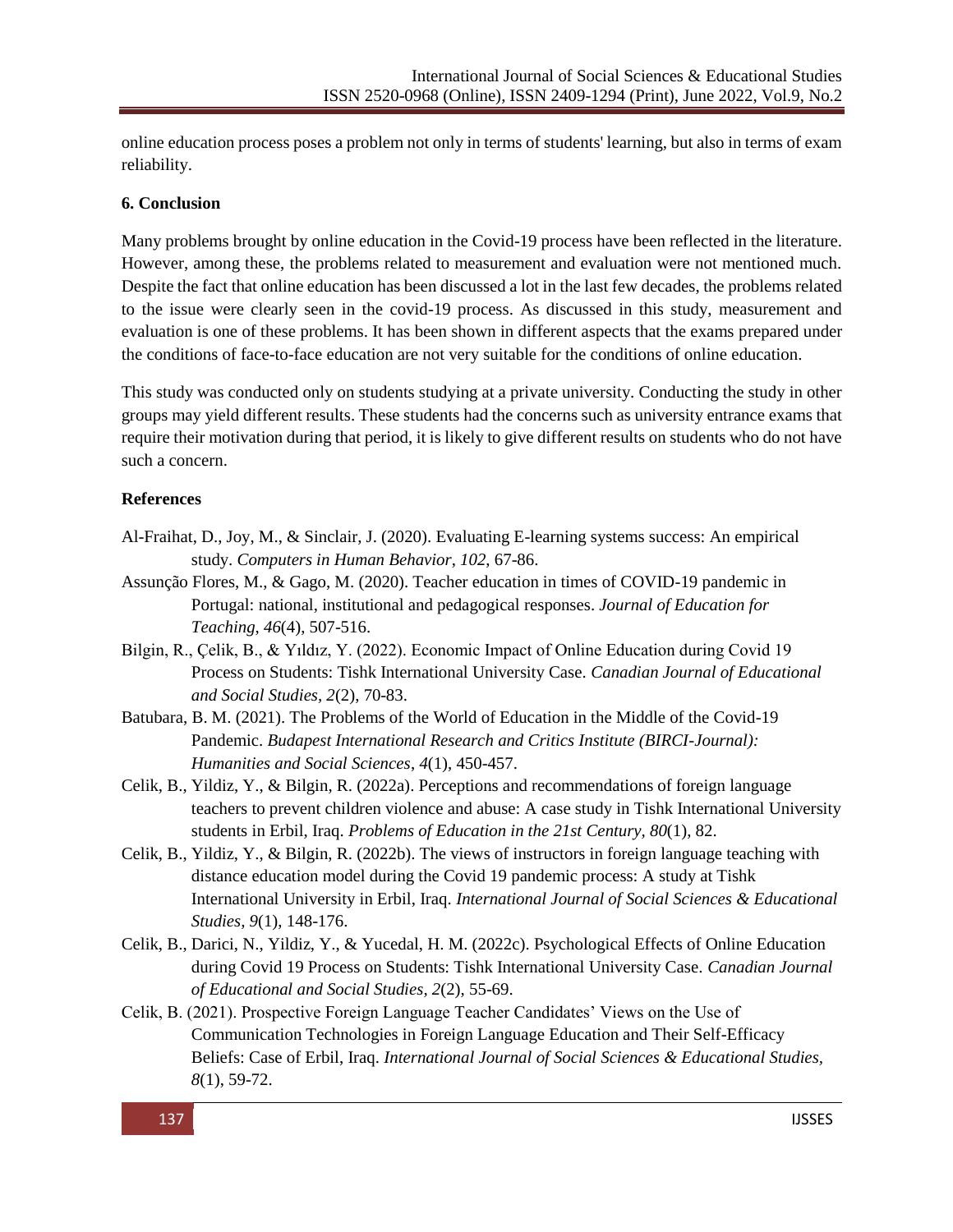online education process poses a problem not only in terms of students' learning, but also in terms of exam reliability.

#### **6. Conclusion**

Many problems brought by online education in the Covid-19 process have been reflected in the literature. However, among these, the problems related to measurement and evaluation were not mentioned much. Despite the fact that online education has been discussed a lot in the last few decades, the problems related to the issue were clearly seen in the covid-19 process. As discussed in this study, measurement and evaluation is one of these problems. It has been shown in different aspects that the exams prepared under the conditions of face-to-face education are not very suitable for the conditions of online education.

This study was conducted only on students studying at a private university. Conducting the study in other groups may yield different results. These students had the concerns such as university entrance exams that require their motivation during that period, it is likely to give different results on students who do not have such a concern.

## **References**

- Al-Fraihat, D., Joy, M., & Sinclair, J. (2020). Evaluating E-learning systems success: An empirical study. *Computers in Human Behavior*, *102*, 67-86.
- Assunção Flores, M., & Gago, M. (2020). Teacher education in times of COVID-19 pandemic in Portugal: national, institutional and pedagogical responses. *Journal of Education for Teaching*, *46*(4), 507-516.
- Bilgin, R., Çelik, B., & Yıldız, Y. (2022). Economic Impact of Online Education during Covid 19 Process on Students: Tishk International University Case. *Canadian Journal of Educational and Social Studies, 2*(2), 70-83.
- Batubara, B. M. (2021). The Problems of the World of Education in the Middle of the Covid-19 Pandemic. *Budapest International Research and Critics Institute (BIRCI-Journal): Humanities and Social Sciences*, *4*(1), 450-457.
- Celik, B., Yildiz, Y., & Bilgin, R. (2022a). Perceptions and recommendations of foreign language teachers to prevent children violence and abuse: A case study in Tishk International University students in Erbil, Iraq. *Problems of Education in the 21st Century, 80*(1), 82.
- Celik, B., Yildiz, Y., & Bilgin, R. (2022b). The views of instructors in foreign language teaching with distance education model during the Covid 19 pandemic process: A study at Tishk International University in Erbil, Iraq. *International Journal of Social Sciences & Educational Studies, 9*(1), 148-176.
- Celik, B., Darici, N., Yildiz, Y., & Yucedal, H. M. (2022c). Psychological Effects of Online Education during Covid 19 Process on Students: Tishk International University Case. *Canadian Journal of Educational and Social Studies, 2*(2), 55-69.
- Celik, B. (2021). Prospective Foreign Language Teacher Candidates' Views on the Use of Communication Technologies in Foreign Language Education and Their Self-Efficacy Beliefs: Case of Erbil, Iraq. *International Journal of Social Sciences & Educational Studies, 8*(1), 59-72.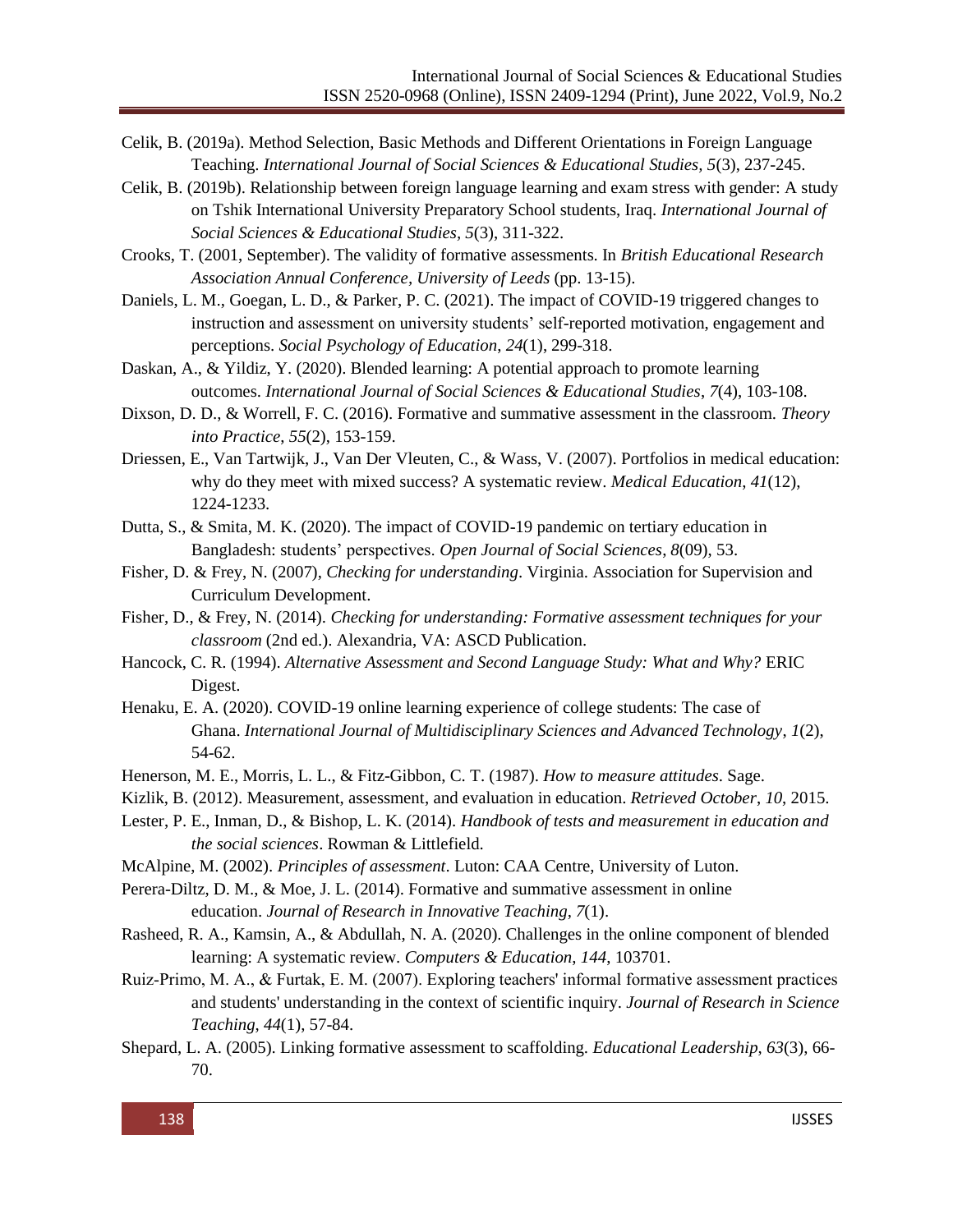- Celik, B. (2019a). Method Selection, Basic Methods and Different Orientations in Foreign Language Teaching. *International Journal of Social Sciences & Educational Studies, 5*(3), 237-245.
- Celik, B. (2019b). Relationship between foreign language learning and exam stress with gender: A study on Tshik International University Preparatory School students, Iraq. *International Journal of Social Sciences & Educational Studies, 5*(3), 311-322.
- Crooks, T. (2001, September). The validity of formative assessments. In *British Educational Research Association Annual Conference, University of Leeds* (pp. 13-15).
- Daniels, L. M., Goegan, L. D., & Parker, P. C. (2021). The impact of COVID-19 triggered changes to instruction and assessment on university students' self-reported motivation, engagement and perceptions. *Social Psychology of Education*, *24*(1), 299-318.
- Daskan, A., & Yildiz, Y. (2020). Blended learning: A potential approach to promote learning outcomes. *International Journal of Social Sciences & Educational Studies*, *7*(4), 103-108.
- Dixson, D. D., & Worrell, F. C. (2016). Formative and summative assessment in the classroom. *Theory into Practice*, *55*(2), 153-159.
- Driessen, E., Van Tartwijk, J., Van Der Vleuten, C., & Wass, V. (2007). Portfolios in medical education: why do they meet with mixed success? A systematic review. *Medical Education*, *41*(12), 1224-1233.
- Dutta, S., & Smita, M. K. (2020). The impact of COVID-19 pandemic on tertiary education in Bangladesh: students' perspectives. *Open Journal of Social Sciences*, *8*(09), 53.
- Fisher, D. & Frey, N. (2007), *Checking for understanding*. Virginia. Association for Supervision and Curriculum Development.
- Fisher, D., & Frey, N. (2014). *Checking for understanding: Formative assessment techniques for your classroom* (2nd ed.). Alexandria, VA: ASCD Publication.
- Hancock, C. R. (1994). *Alternative Assessment and Second Language Study: What and Why?* ERIC Digest.
- Henaku, E. A. (2020). COVID-19 online learning experience of college students: The case of Ghana. *International Journal of Multidisciplinary Sciences and Advanced Technology*, *1*(2), 54-62.
- Henerson, M. E., Morris, L. L., & Fitz-Gibbon, C. T. (1987). *How to measure attitudes*. Sage.
- Kizlik, B. (2012). Measurement, assessment, and evaluation in education. *Retrieved October*, *10*, 2015.
- Lester, P. E., Inman, D., & Bishop, L. K. (2014). *Handbook of tests and measurement in education and the social sciences*. Rowman & Littlefield.
- McAlpine, M. (2002). *Principles of assessment*. Luton: CAA Centre, University of Luton.
- Perera-Diltz, D. M., & Moe, J. L. (2014). Formative and summative assessment in online education. *Journal of Research in Innovative Teaching*, *7*(1).
- Rasheed, R. A., Kamsin, A., & Abdullah, N. A. (2020). Challenges in the online component of blended learning: A systematic review. *Computers & Education*, *144*, 103701.
- Ruiz‐Primo, M. A., & Furtak, E. M. (2007). Exploring teachers' informal formative assessment practices and students' understanding in the context of scientific inquiry. *Journal of Research in Science Teaching*, *44*(1), 57-84.
- Shepard, L. A. (2005). Linking formative assessment to scaffolding. *Educational Leadership*, *63*(3), 66- 70.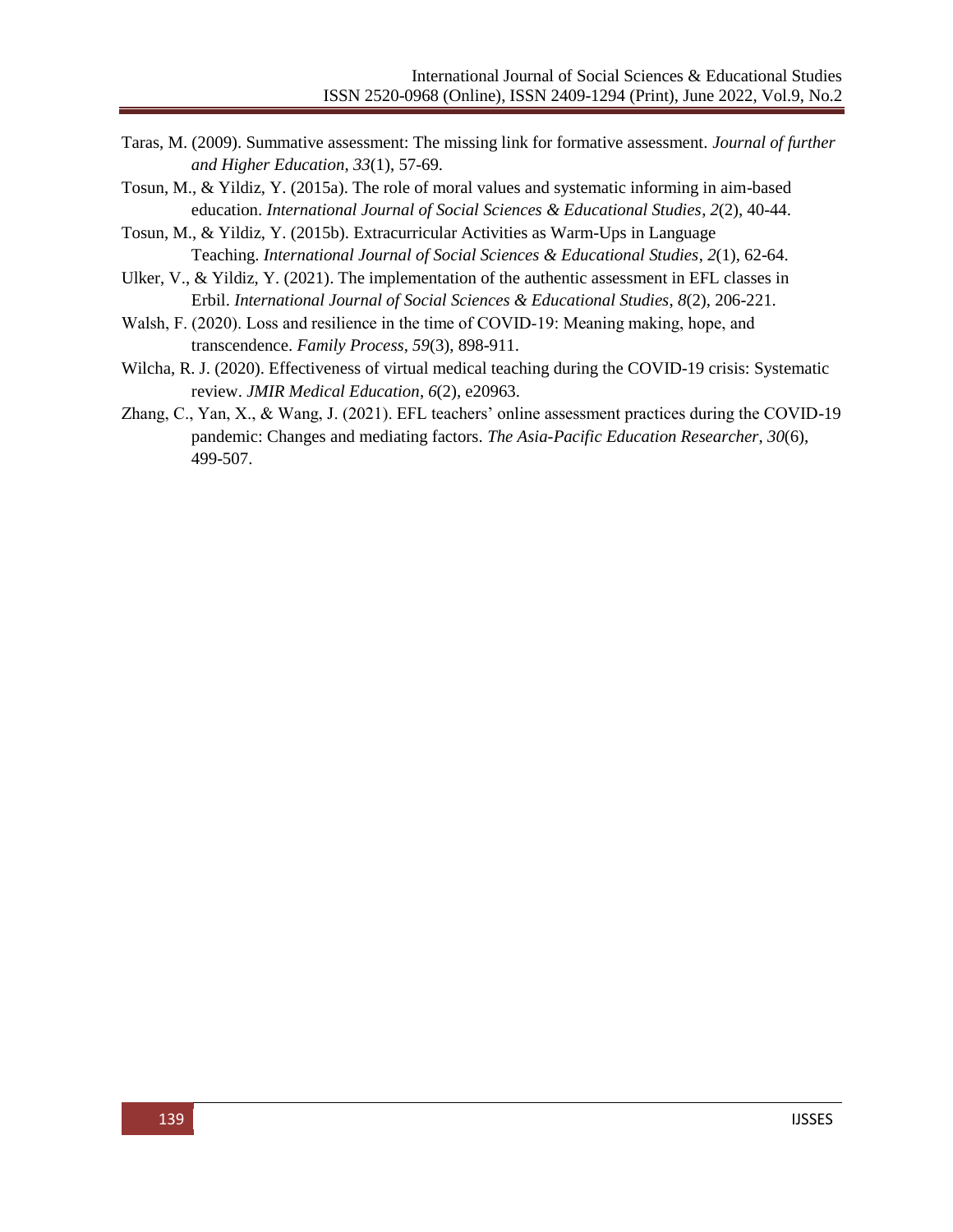- Taras, M. (2009). Summative assessment: The missing link for formative assessment. *Journal of further and Higher Education*, *33*(1), 57-69.
- Tosun, M., & Yildiz, Y. (2015a). The role of moral values and systematic informing in aim-based education. *International Journal of Social Sciences & Educational Studies*, *2*(2), 40-44.
- Tosun, M., & Yildiz, Y. (2015b). Extracurricular Activities as Warm-Ups in Language Teaching. *International Journal of Social Sciences & Educational Studies*, *2*(1), 62-64.
- Ulker, V., & Yildiz, Y. (2021). The implementation of the authentic assessment in EFL classes in Erbil. *International Journal of Social Sciences & Educational Studies*, *8*(2), 206-221.
- Walsh, F. (2020). Loss and resilience in the time of COVID-19: Meaning making, hope, and transcendence. *Family Process*, *59*(3), 898-911.
- Wilcha, R. J. (2020). Effectiveness of virtual medical teaching during the COVID-19 crisis: Systematic review. *JMIR Medical Education*, *6*(2), e20963.
- Zhang, C., Yan, X., & Wang, J. (2021). EFL teachers' online assessment practices during the COVID-19 pandemic: Changes and mediating factors. *The Asia-Pacific Education Researcher*, *30*(6), 499-507.